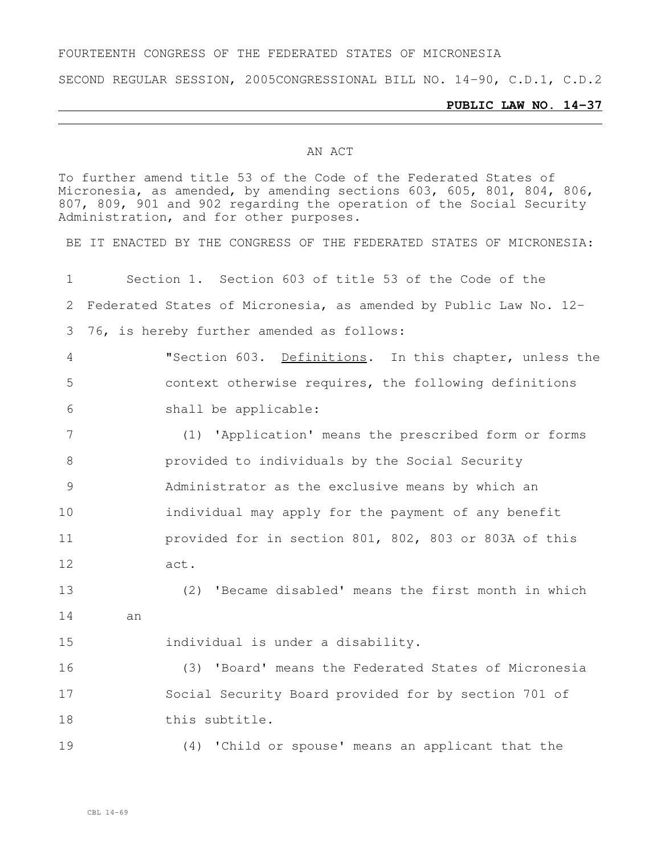## FOURTEENTH CONGRESS OF THE FEDERATED STATES OF MICRONESIA

SECOND REGULAR SESSION, 2005CONGRESSIONAL BILL NO. 14-90, C.D.1, C.D.2

## **PUBLIC LAW NO. 14-37**

## AN ACT

To further amend title 53 of the Code of the Federated States of Micronesia, as amended, by amending sections 603, 605, 801, 804, 806, 807, 809, 901 and 902 regarding the operation of the Social Security Administration, and for other purposes.

BE IT ENACTED BY THE CONGRESS OF THE FEDERATED STATES OF MICRONESIA:

 Section 1. Section 603 of title 53 of the Code of the Federated States of Micronesia, as amended by Public Law No. 12- 76, is hereby further amended as follows: "Section 603. Definitions. In this chapter, unless the context otherwise requires, the following definitions shall be applicable: (1) 'Application' means the prescribed form or forms provided to individuals by the Social Security Administrator as the exclusive means by which an **individual may apply for the payment of any benefit**  provided for in section 801, 802, 803 or 803A of this act. (2) 'Became disabled' means the first month in which an individual is under a disability. (3) 'Board' means the Federated States of Micronesia Social Security Board provided for by section 701 of this subtitle. (4) 'Child or spouse' means an applicant that the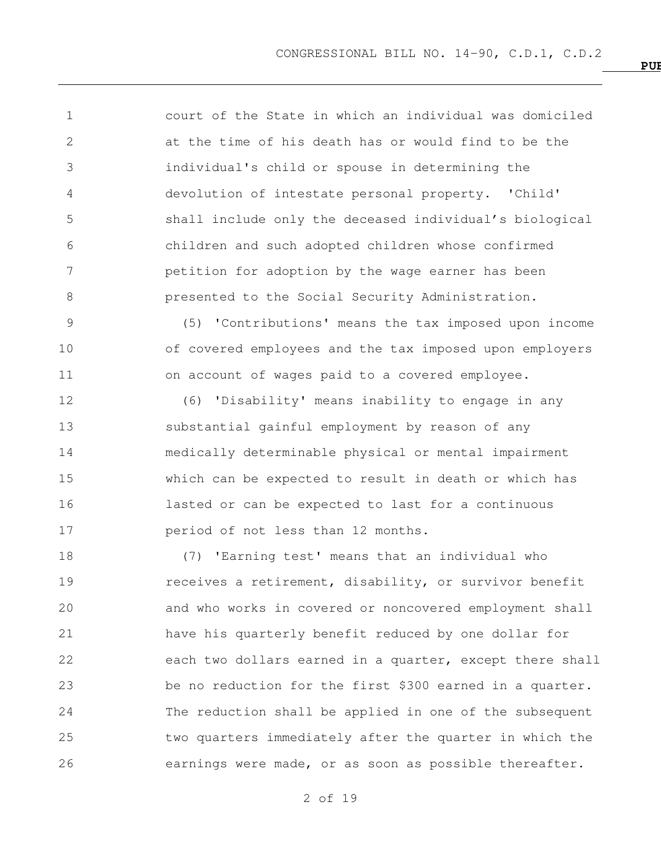court of the State in which an individual was domiciled at the time of his death has or would find to be the individual's child or spouse in determining the devolution of intestate personal property. 'Child' shall include only the deceased individual's biological children and such adopted children whose confirmed petition for adoption by the wage earner has been **presented to the Social Security Administration.** 

 (5) 'Contributions' means the tax imposed upon income of covered employees and the tax imposed upon employers on account of wages paid to a covered employee.

 (6) 'Disability' means inability to engage in any substantial gainful employment by reason of any medically determinable physical or mental impairment which can be expected to result in death or which has lasted or can be expected to last for a continuous period of not less than 12 months.

 (7) 'Earning test' means that an individual who **receives a retirement, disability, or survivor benefit**  and who works in covered or noncovered employment shall have his quarterly benefit reduced by one dollar for each two dollars earned in a quarter, except there shall be no reduction for the first \$300 earned in a quarter. The reduction shall be applied in one of the subsequent two quarters immediately after the quarter in which the earnings were made, or as soon as possible thereafter.

of 19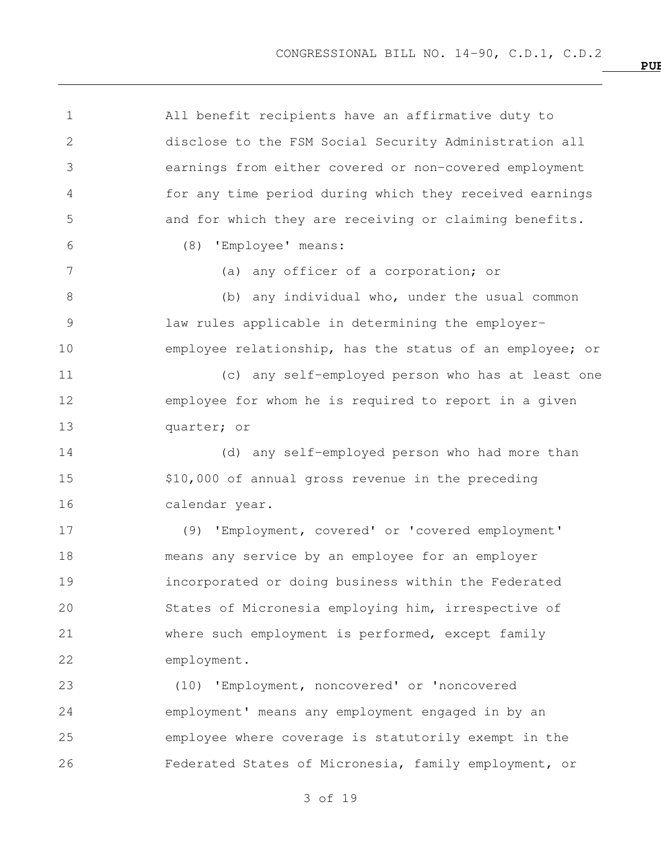All benefit recipients have an affirmative duty to disclose to the FSM Social Security Administration all earnings from either covered or non-covered employment for any time period during which they received earnings and for which they are receiving or claiming benefits. (8) 'Employee' means: (a) any officer of a corporation; or 8 (b) any individual who, under the usual common law rules applicable in determining the employer- employee relationship, has the status of an employee; or (c) any self-employed person who has at least one employee for whom he is required to report in a given quarter; or (d) any self-employed person who had more than \$10,000 of annual gross revenue in the preceding calendar year. (9) 'Employment, covered' or 'covered employment'

 means any service by an employee for an employer incorporated or doing business within the Federated States of Micronesia employing him, irrespective of where such employment is performed, except family employment.

 (10) 'Employment, noncovered' or 'noncovered employment' means any employment engaged in by an employee where coverage is statutorily exempt in the Federated States of Micronesia, family employment, or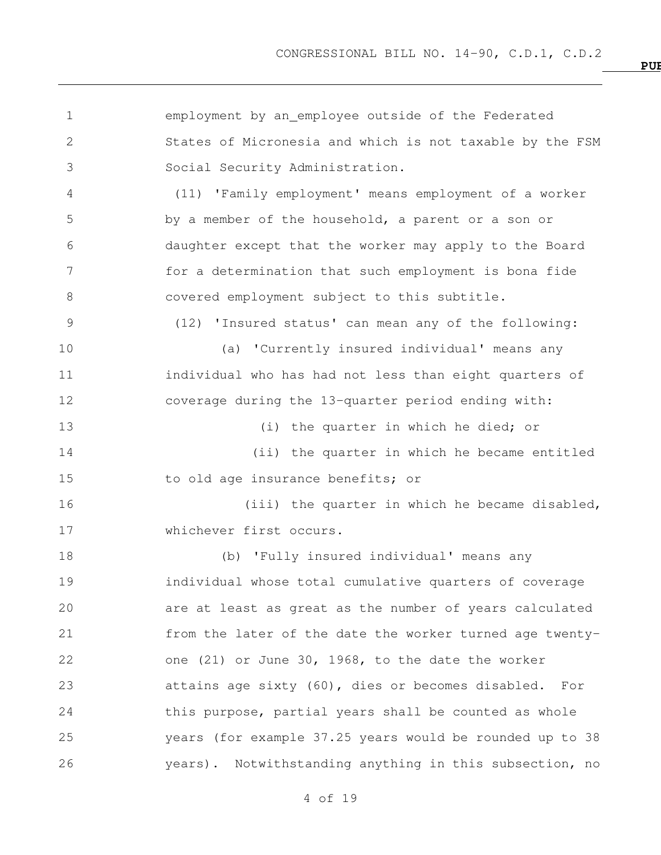employment by an employee outside of the Federated States of Micronesia and which is not taxable by the FSM Social Security Administration. (11) 'Family employment' means employment of a worker by a member of the household, a parent or a son or daughter except that the worker may apply to the Board for a determination that such employment is bona fide covered employment subject to this subtitle. (12) 'Insured status' can mean any of the following: (a) 'Currently insured individual' means any 11 individual who has had not less than eight quarters of coverage during the 13-quarter period ending with: 13 (i) the quarter in which he died; or (ii) the quarter in which he became entitled to old age insurance benefits; or 16 (iii) the quarter in which he became disabled, whichever first occurs. (b) 'Fully insured individual' means any individual whose total cumulative quarters of coverage are at least as great as the number of years calculated from the later of the date the worker turned age twenty- one (21) or June 30, 1968, to the date the worker attains age sixty (60), dies or becomes disabled. For 24 this purpose, partial years shall be counted as whole years (for example 37.25 years would be rounded up to 38 years). Notwithstanding anything in this subsection, no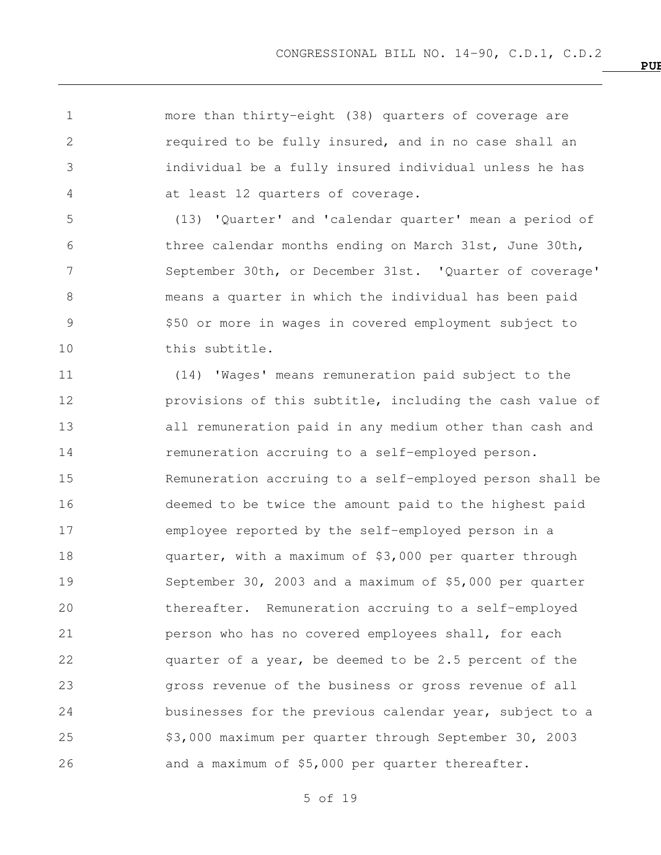more than thirty-eight (38) quarters of coverage are required to be fully insured, and in no case shall an individual be a fully insured individual unless he has

at least 12 quarters of coverage.

 (13) 'Quarter' and 'calendar quarter' mean a period of three calendar months ending on March 31st, June 30th, September 30th, or December 31st. 'Quarter of coverage' means a quarter in which the individual has been paid \$50 or more in wages in covered employment subject to this subtitle.

 (14) 'Wages' means remuneration paid subject to the provisions of this subtitle, including the cash value of all remuneration paid in any medium other than cash and remuneration accruing to a self-employed person. Remuneration accruing to a self-employed person shall be deemed to be twice the amount paid to the highest paid employee reported by the self-employed person in a quarter, with a maximum of \$3,000 per quarter through September 30, 2003 and a maximum of \$5,000 per quarter thereafter. Remuneration accruing to a self-employed **person who has no covered employees shall, for each**  quarter of a year, be deemed to be 2.5 percent of the gross revenue of the business or gross revenue of all businesses for the previous calendar year, subject to a \$3,000 maximum per quarter through September 30, 2003 and a maximum of \$5,000 per quarter thereafter.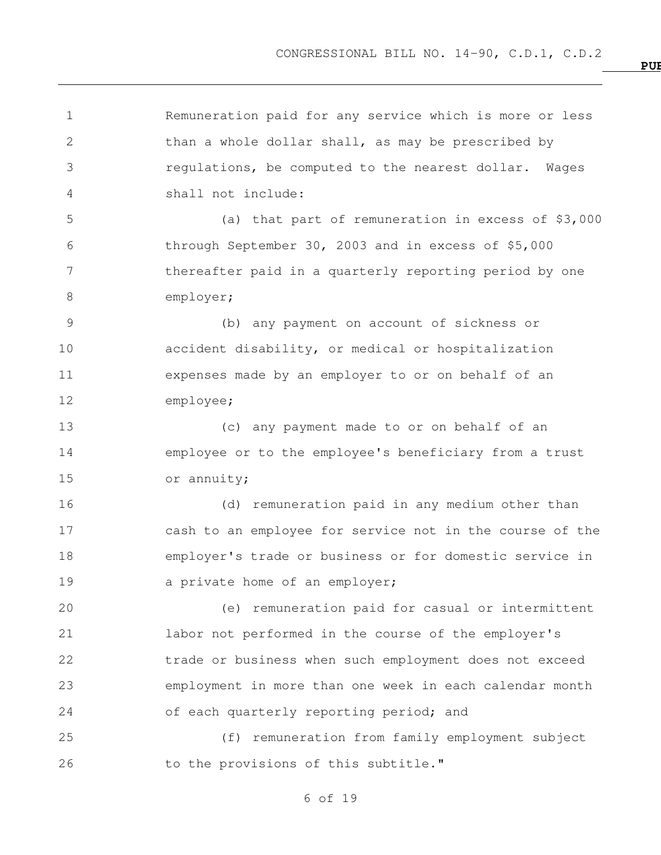**PUBLIC LAW NO. 14**

 Remuneration paid for any service which is more or less 2 than a whole dollar shall, as may be prescribed by regulations, be computed to the nearest dollar. Wages shall not include: (a) that part of remuneration in excess of \$3,000 through September 30, 2003 and in excess of \$5,000 thereafter paid in a quarterly reporting period by one 8 employer; (b) any payment on account of sickness or accident disability, or medical or hospitalization expenses made by an employer to or on behalf of an employee; (c) any payment made to or on behalf of an employee or to the employee's beneficiary from a trust or annuity; (d) remuneration paid in any medium other than cash to an employee for service not in the course of the employer's trade or business or for domestic service in 19 a private home of an employer; (e) remuneration paid for casual or intermittent labor not performed in the course of the employer's trade or business when such employment does not exceed employment in more than one week in each calendar month of each quarterly reporting period; and (f) remuneration from family employment subject 26 to the provisions of this subtitle."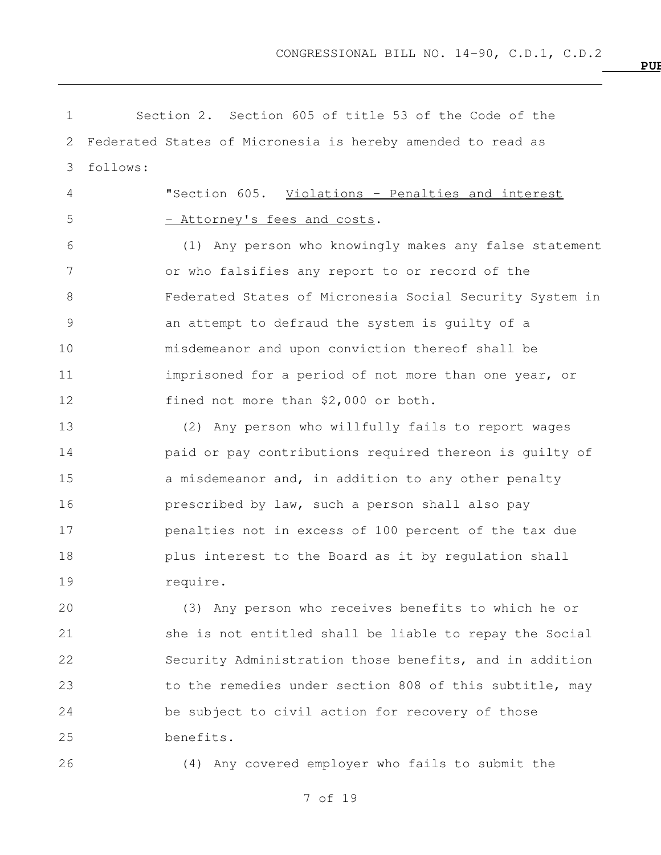Section 2. Section 605 of title 53 of the Code of the Federated States of Micronesia is hereby amended to read as follows: "Section 605. Violations - Penalties and interest 5 - Attorney's fees and costs. (1) Any person who knowingly makes any false statement or who falsifies any report to or record of the Federated States of Micronesia Social Security System in an attempt to defraud the system is guilty of a misdemeanor and upon conviction thereof shall be imprisoned for a period of not more than one year, or fined not more than \$2,000 or both. (2) Any person who willfully fails to report wages paid or pay contributions required thereon is guilty of 15 a misdemeanor and, in addition to any other penalty prescribed by law, such a person shall also pay penalties not in excess of 100 percent of the tax due plus interest to the Board as it by regulation shall require. (3) Any person who receives benefits to which he or she is not entitled shall be liable to repay the Social Security Administration those benefits, and in addition to the remedies under section 808 of this subtitle, may be subject to civil action for recovery of those

benefits.

(4) Any covered employer who fails to submit the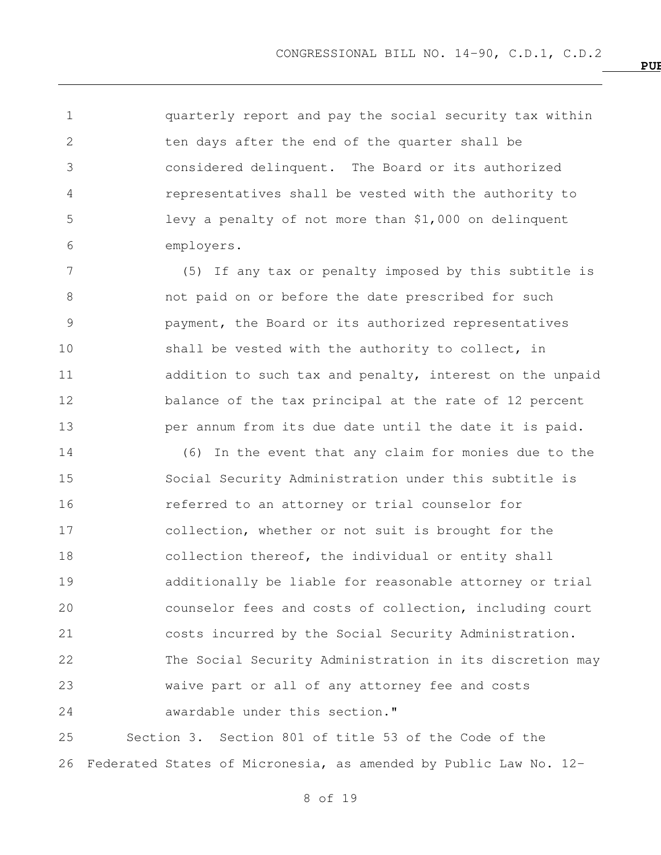quarterly report and pay the social security tax within ten days after the end of the quarter shall be considered delinquent. The Board or its authorized representatives shall be vested with the authority to levy a penalty of not more than \$1,000 on delinquent employers.

 (5) If any tax or penalty imposed by this subtitle is not paid on or before the date prescribed for such payment, the Board or its authorized representatives 10 shall be vested with the authority to collect, in addition to such tax and penalty, interest on the unpaid balance of the tax principal at the rate of 12 percent per annum from its due date until the date it is paid.

 (6) In the event that any claim for monies due to the Social Security Administration under this subtitle is referred to an attorney or trial counselor for collection, whether or not suit is brought for the collection thereof, the individual or entity shall additionally be liable for reasonable attorney or trial counselor fees and costs of collection, including court costs incurred by the Social Security Administration. The Social Security Administration in its discretion may waive part or all of any attorney fee and costs awardable under this section."

 Section 3. Section 801 of title 53 of the Code of the Federated States of Micronesia, as amended by Public Law No. 12-

of 19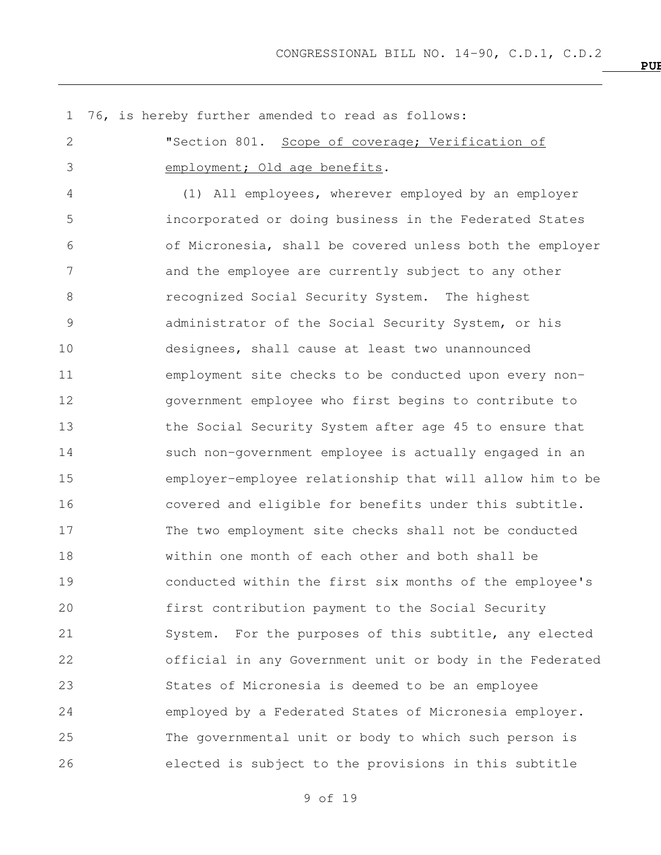76, is hereby further amended to read as follows: "Section 801. Scope of coverage; Verification of 3 employment; Old age benefits. (1) All employees, wherever employed by an employer incorporated or doing business in the Federated States of Micronesia, shall be covered unless both the employer and the employee are currently subject to any other recognized Social Security System. The highest administrator of the Social Security System, or his designees, shall cause at least two unannounced employment site checks to be conducted upon every non- government employee who first begins to contribute to the Social Security System after age 45 to ensure that such non-government employee is actually engaged in an employer-employee relationship that will allow him to be covered and eligible for benefits under this subtitle. The two employment site checks shall not be conducted within one month of each other and both shall be conducted within the first six months of the employee's first contribution payment to the Social Security 21 System. For the purposes of this subtitle, any elected official in any Government unit or body in the Federated States of Micronesia is deemed to be an employee employed by a Federated States of Micronesia employer. The governmental unit or body to which such person is elected is subject to the provisions in this subtitle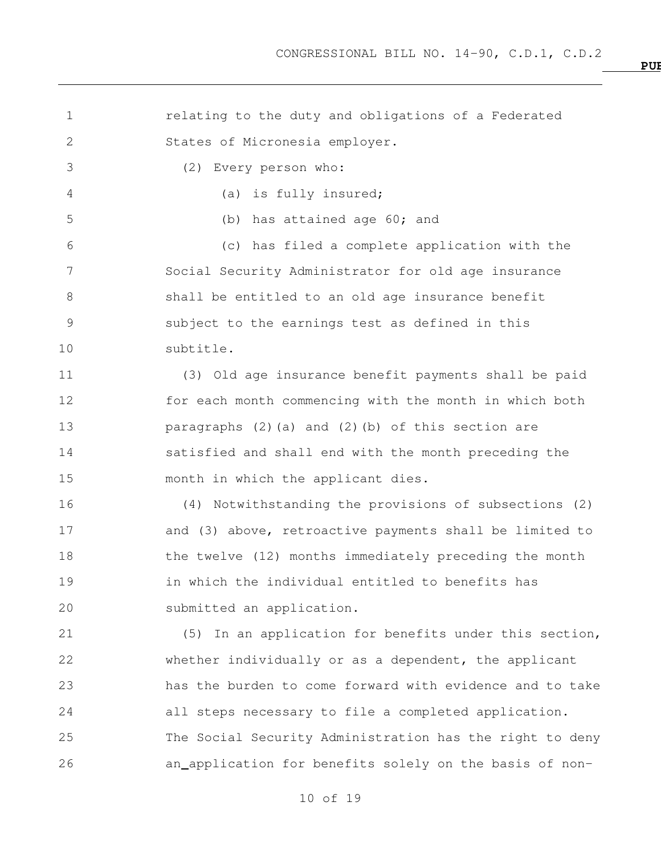relating to the duty and obligations of a Federated States of Micronesia employer. (2) Every person who: (a) is fully insured; (b) has attained age 60; and (c) has filed a complete application with the Social Security Administrator for old age insurance shall be entitled to an old age insurance benefit subject to the earnings test as defined in this subtitle. (3) Old age insurance benefit payments shall be paid for each month commencing with the month in which both paragraphs (2)(a) and (2)(b) of this section are satisfied and shall end with the month preceding the month in which the applicant dies. (4) Notwithstanding the provisions of subsections (2) and (3) above, retroactive payments shall be limited to 18 the twelve (12) months immediately preceding the month in which the individual entitled to benefits has submitted an application. (5) In an application for benefits under this section, whether individually or as a dependent, the applicant has the burden to come forward with evidence and to take all steps necessary to file a completed application. The Social Security Administration has the right to deny an application for benefits solely on the basis of non-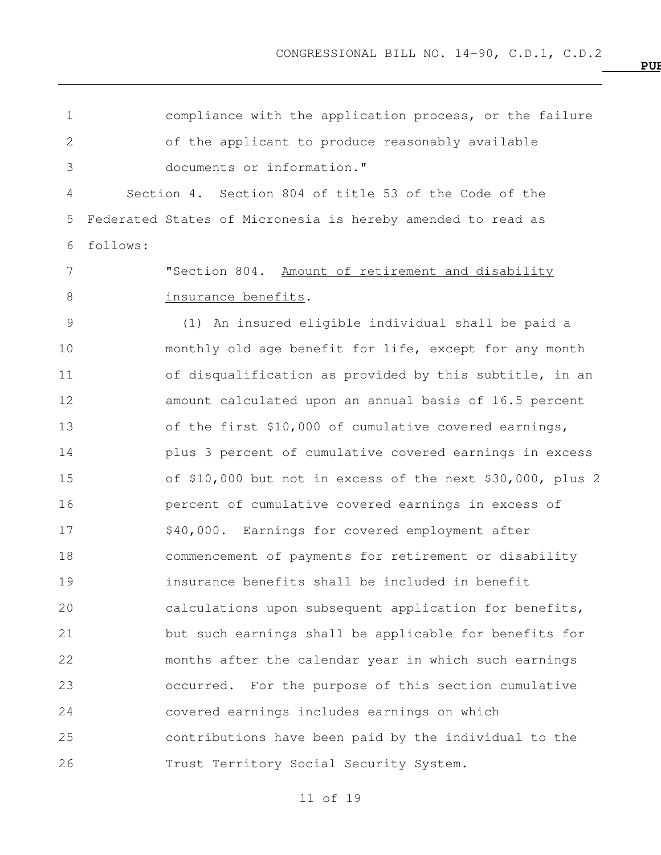compliance with the application process, or the failure of the applicant to produce reasonably available documents or information." Section 4. Section 804 of title 53 of the Code of the Federated States of Micronesia is hereby amended to read as follows: 7 The Section 804. Amount of retirement and disability 8 insurance benefits. (1) An insured eligible individual shall be paid a monthly old age benefit for life, except for any month 11 of disqualification as provided by this subtitle, in an amount calculated upon an annual basis of 16.5 percent of the first \$10,000 of cumulative covered earnings, plus 3 percent of cumulative covered earnings in excess of \$10,000 but not in excess of the next \$30,000, plus 2 percent of cumulative covered earnings in excess of 17 \$40,000. Earnings for covered employment after commencement of payments for retirement or disability insurance benefits shall be included in benefit calculations upon subsequent application for benefits, but such earnings shall be applicable for benefits for months after the calendar year in which such earnings occurred. For the purpose of this section cumulative covered earnings includes earnings on which contributions have been paid by the individual to the Trust Territory Social Security System.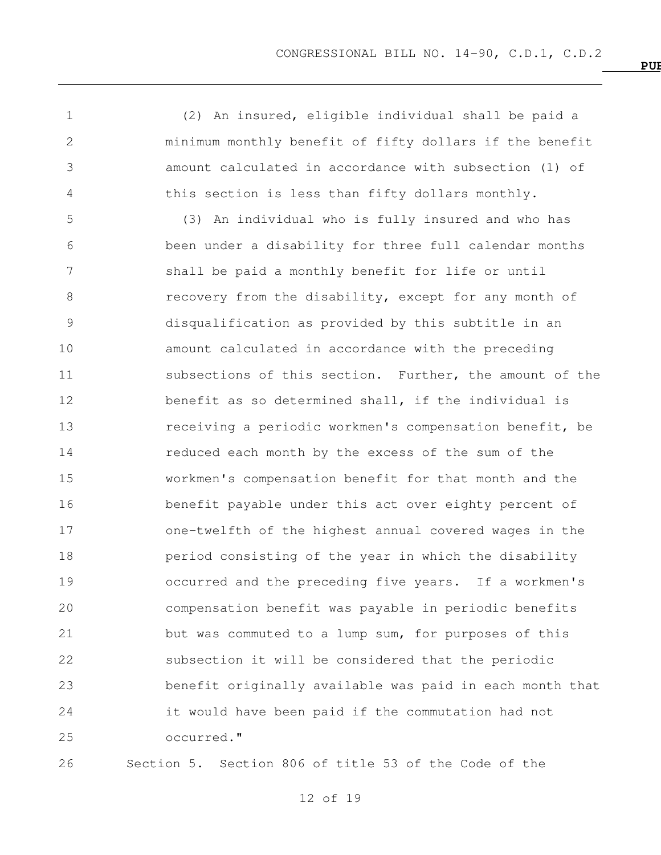(2) An insured, eligible individual shall be paid a minimum monthly benefit of fifty dollars if the benefit amount calculated in accordance with subsection (1) of this section is less than fifty dollars monthly.

 (3) An individual who is fully insured and who has been under a disability for three full calendar months shall be paid a monthly benefit for life or until 8 recovery from the disability, except for any month of disqualification as provided by this subtitle in an amount calculated in accordance with the preceding subsections of this section. Further, the amount of the benefit as so determined shall, if the individual is **13** receiving a periodic workmen's compensation benefit, be reduced each month by the excess of the sum of the workmen's compensation benefit for that month and the benefit payable under this act over eighty percent of one-twelfth of the highest annual covered wages in the period consisting of the year in which the disability occurred and the preceding five years. If a workmen's compensation benefit was payable in periodic benefits but was commuted to a lump sum, for purposes of this subsection it will be considered that the periodic benefit originally available was paid in each month that it would have been paid if the commutation had not occurred."

Section 5. Section 806 of title 53 of the Code of the

of 19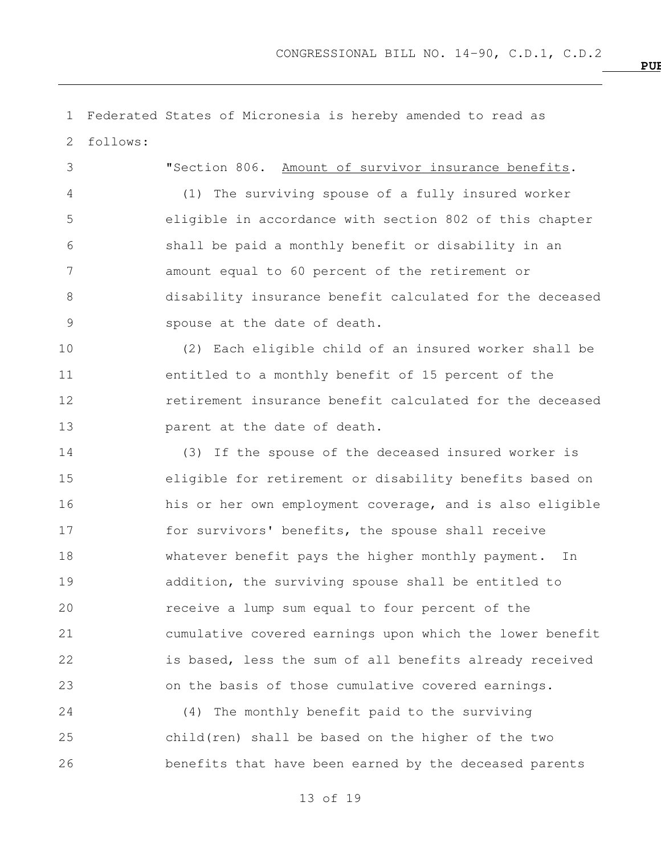Federated States of Micronesia is hereby amended to read as follows: "Section 806. Amount of survivor insurance benefits. (1) The surviving spouse of a fully insured worker eligible in accordance with section 802 of this chapter shall be paid a monthly benefit or disability in an amount equal to 60 percent of the retirement or disability insurance benefit calculated for the deceased spouse at the date of death. (2) Each eligible child of an insured worker shall be entitled to a monthly benefit of 15 percent of the retirement insurance benefit calculated for the deceased **parent** at the date of death. (3) If the spouse of the deceased insured worker is eligible for retirement or disability benefits based on his or her own employment coverage, and is also eligible for survivors' benefits, the spouse shall receive 18 Whatever benefit pays the higher monthly payment. In addition, the surviving spouse shall be entitled to receive a lump sum equal to four percent of the cumulative covered earnings upon which the lower benefit is based, less the sum of all benefits already received on the basis of those cumulative covered earnings. (4) The monthly benefit paid to the surviving child(ren) shall be based on the higher of the two

benefits that have been earned by the deceased parents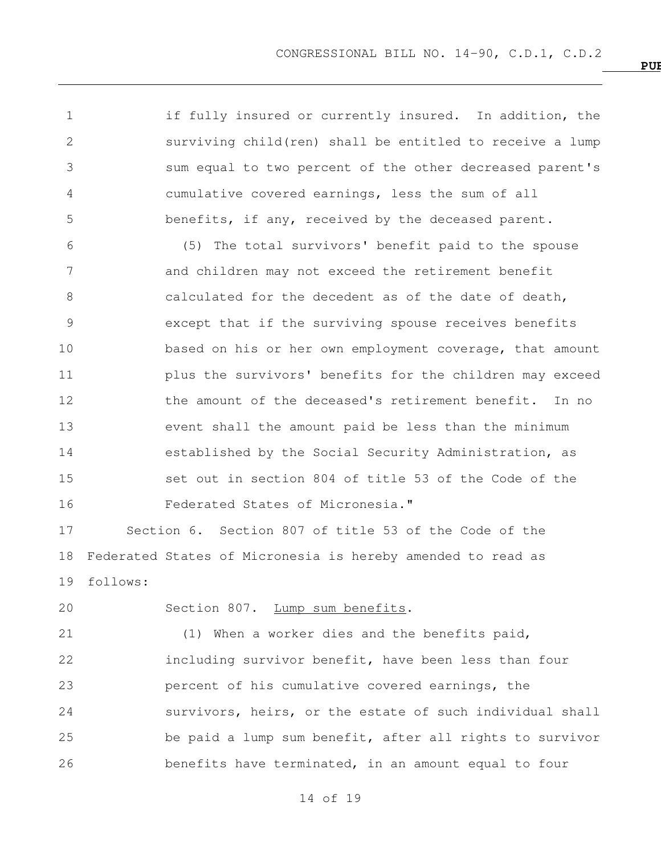1 if fully insured or currently insured. In addition, the surviving child(ren) shall be entitled to receive a lump sum equal to two percent of the other decreased parent's cumulative covered earnings, less the sum of all benefits, if any, received by the deceased parent.

 (5) The total survivors' benefit paid to the spouse and children may not exceed the retirement benefit 8 calculated for the decedent as of the date of death, except that if the surviving spouse receives benefits based on his or her own employment coverage, that amount plus the survivors' benefits for the children may exceed 12 the amount of the deceased's retirement benefit. In no event shall the amount paid be less than the minimum established by the Social Security Administration, as set out in section 804 of title 53 of the Code of the Federated States of Micronesia."

 Section 6. Section 807 of title 53 of the Code of the Federated States of Micronesia is hereby amended to read as follows:

Section 807. Lump sum benefits.

 (1) When a worker dies and the benefits paid, including survivor benefit, have been less than four percent of his cumulative covered earnings, the survivors, heirs, or the estate of such individual shall be paid a lump sum benefit, after all rights to survivor benefits have terminated, in an amount equal to four

of 19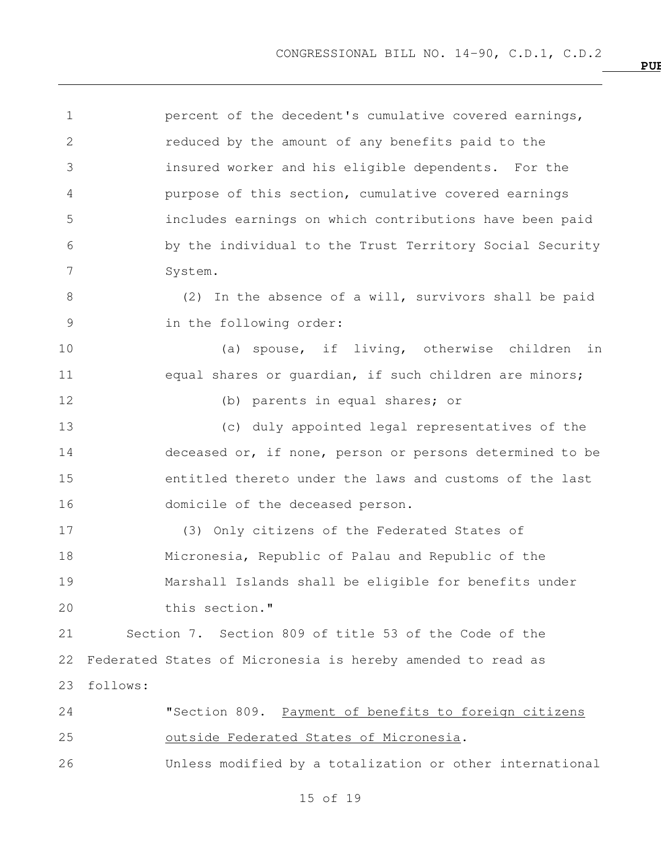percent of the decedent's cumulative covered earnings, reduced by the amount of any benefits paid to the insured worker and his eligible dependents. For the purpose of this section, cumulative covered earnings includes earnings on which contributions have been paid by the individual to the Trust Territory Social Security System. (2) In the absence of a will, survivors shall be paid in the following order: (a) spouse, if living, otherwise children in 11 equal shares or quardian, if such children are minors; (b) parents in equal shares; or (c) duly appointed legal representatives of the deceased or, if none, person or persons determined to be entitled thereto under the laws and customs of the last domicile of the deceased person. (3) Only citizens of the Federated States of Micronesia, Republic of Palau and Republic of the Marshall Islands shall be eligible for benefits under this section." Section 7. Section 809 of title 53 of the Code of the Federated States of Micronesia is hereby amended to read as follows: "Section 809. Payment of benefits to foreign citizens outside Federated States of Micronesia. Unless modified by a totalization or other international

of 19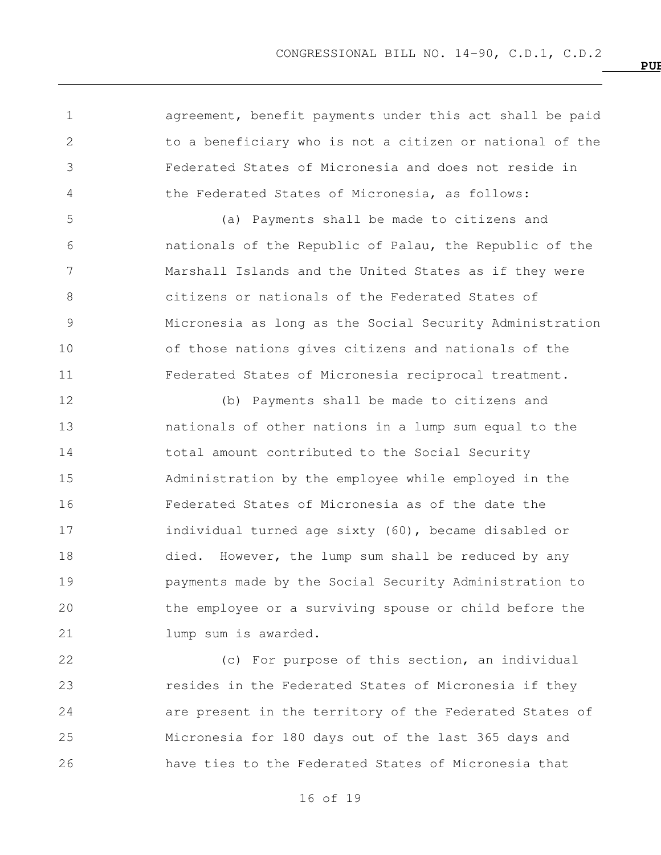**PUBLIC LAW NO. 14**

 agreement, benefit payments under this act shall be paid to a beneficiary who is not a citizen or national of the Federated States of Micronesia and does not reside in the Federated States of Micronesia, as follows:

 (a) Payments shall be made to citizens and nationals of the Republic of Palau, the Republic of the Marshall Islands and the United States as if they were citizens or nationals of the Federated States of Micronesia as long as the Social Security Administration of those nations gives citizens and nationals of the Federated States of Micronesia reciprocal treatment.

 (b) Payments shall be made to citizens and nationals of other nations in a lump sum equal to the 14 total amount contributed to the Social Security Administration by the employee while employed in the Federated States of Micronesia as of the date the individual turned age sixty (60), became disabled or died. However, the lump sum shall be reduced by any payments made by the Social Security Administration to the employee or a surviving spouse or child before the **Lump** sum is awarded.

 (c) For purpose of this section, an individual resides in the Federated States of Micronesia if they are present in the territory of the Federated States of Micronesia for 180 days out of the last 365 days and have ties to the Federated States of Micronesia that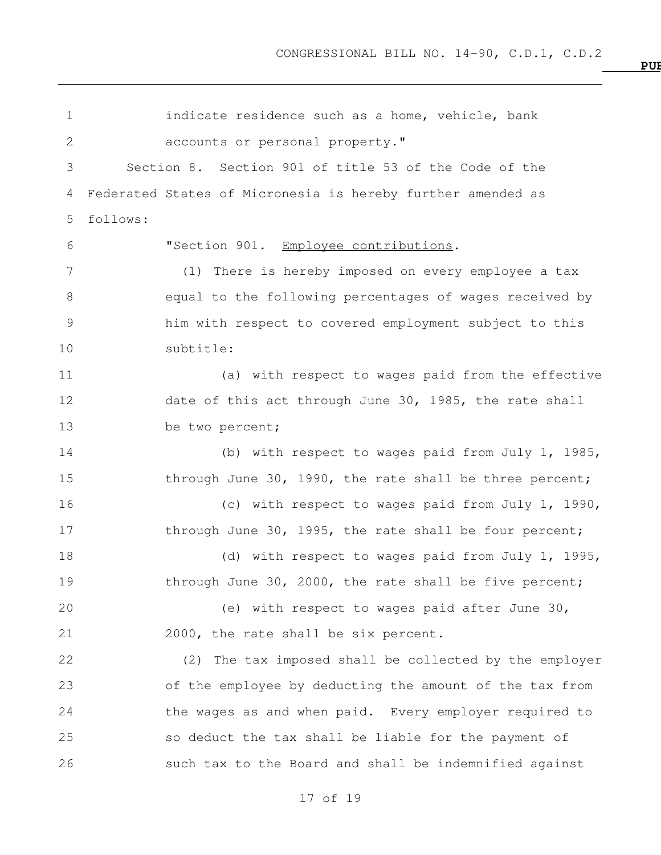indicate residence such as a home, vehicle, bank accounts or personal property." Section 8. Section 901 of title 53 of the Code of the Federated States of Micronesia is hereby further amended as follows: "Section 901. Employee contributions. (1) There is hereby imposed on every employee a tax equal to the following percentages of wages received by him with respect to covered employment subject to this subtitle: (a) with respect to wages paid from the effective 12 date of this act through June 30, 1985, the rate shall be two percent; (b) with respect to wages paid from July 1, 1985, 15 through June 30, 1990, the rate shall be three percent; (c) with respect to wages paid from July 1, 1990, 17 through June 30, 1995, the rate shall be four percent; 18 (d) with respect to wages paid from July 1, 1995, 19 through June 30, 2000, the rate shall be five percent; (e) with respect to wages paid after June 30, 2000, the rate shall be six percent. (2) The tax imposed shall be collected by the employer of the employee by deducting the amount of the tax from the wages as and when paid. Every employer required to so deduct the tax shall be liable for the payment of such tax to the Board and shall be indemnified against

**PUBLIC LAW NO. 14**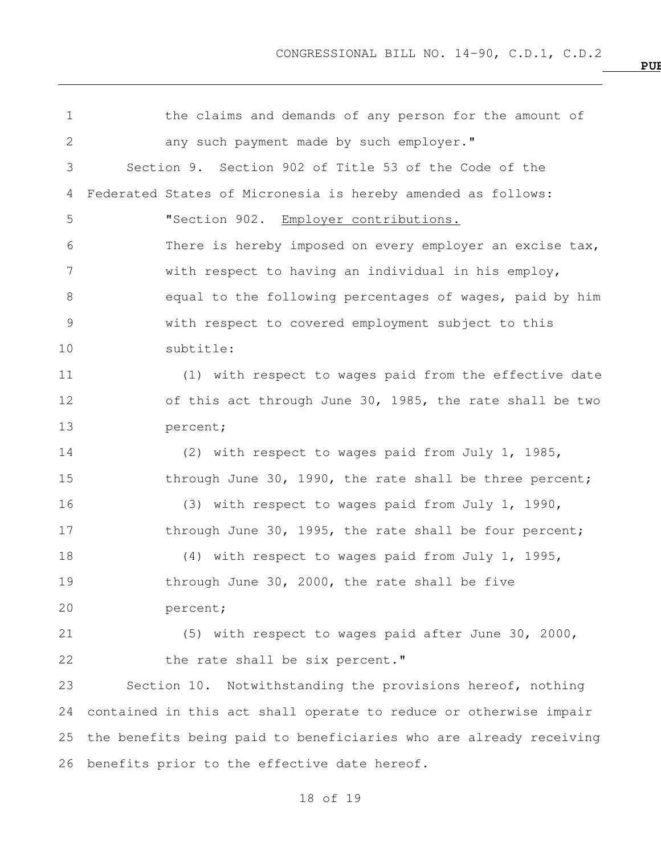the claims and demands of any person for the amount of 2 any such payment made by such employer." Section 9. Section 902 of Title 53 of the Code of the Federated States of Micronesia is hereby amended as follows: "Section 902. Employer contributions. There is hereby imposed on every employer an excise tax, with respect to having an individual in his employ, 8 equal to the following percentages of wages, paid by him with respect to covered employment subject to this subtitle: (1) with respect to wages paid from the effective date of this act through June 30, 1985, the rate shall be two percent; (2) with respect to wages paid from July 1, 1985, 15 through June 30, 1990, the rate shall be three percent; (3) with respect to wages paid from July 1, 1990, 17 through June 30, 1995, the rate shall be four percent; (4) with respect to wages paid from July 1, 1995, 19 through June 30, 2000, the rate shall be five percent; (5) with respect to wages paid after June 30, 2000, 22 the rate shall be six percent." Section 10. Notwithstanding the provisions hereof, nothing contained in this act shall operate to reduce or otherwise impair the benefits being paid to beneficiaries who are already receiving benefits prior to the effective date hereof.

of 19